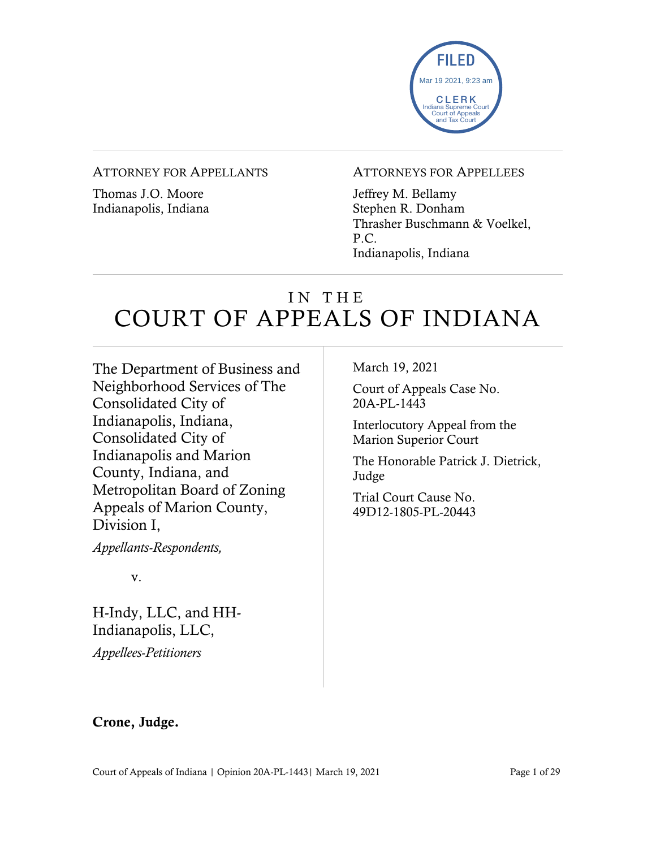

#### ATTORNEY FOR APPELLANTS

Thomas J.O. Moore Indianapolis, Indiana

#### ATTORNEYS FOR APPELLEES

Jeffrey M. Bellamy Stephen R. Donham Thrasher Buschmann & Voelkel, P.C. Indianapolis, Indiana

# IN THE COURT OF APPEALS OF INDIANA

The Department of Business and Neighborhood Services of The Consolidated City of Indianapolis, Indiana, Consolidated City of Indianapolis and Marion County, Indiana, and Metropolitan Board of Zoning Appeals of Marion County, Division I,

*Appellants-Respondents,*

v.

H-Indy, LLC, and HH-Indianapolis, LLC, *Appellees-Petitioners*

March 19, 2021

Court of Appeals Case No. 20A-PL-1443

Interlocutory Appeal from the Marion Superior Court

The Honorable Patrick J. Dietrick, Judge

Trial Court Cause No. 49D12-1805-PL-20443

### Crone, Judge.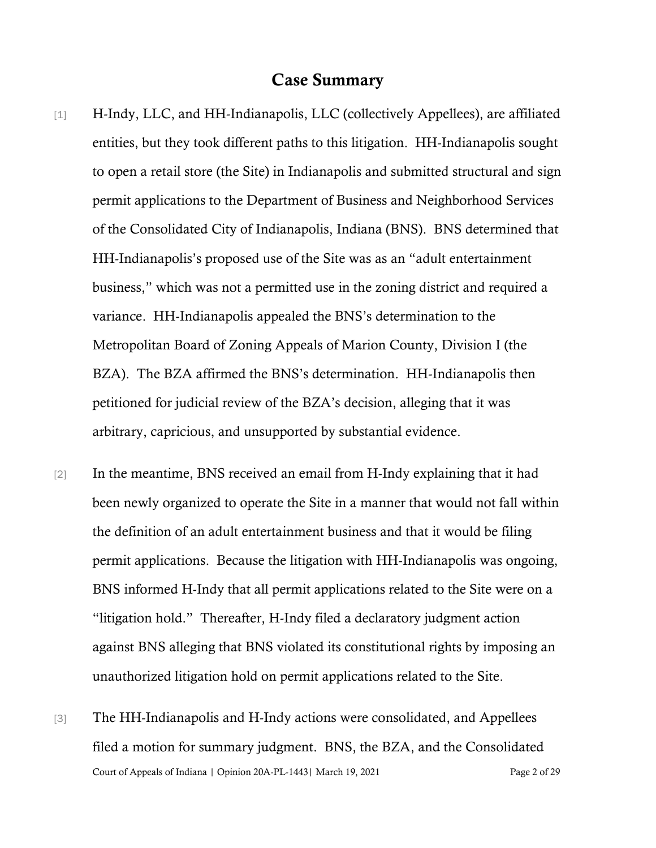### Case Summary

- [1] H-Indy, LLC, and HH-Indianapolis, LLC (collectively Appellees), are affiliated entities, but they took different paths to this litigation. HH-Indianapolis sought to open a retail store (the Site) in Indianapolis and submitted structural and sign permit applications to the Department of Business and Neighborhood Services of the Consolidated City of Indianapolis, Indiana (BNS). BNS determined that HH-Indianapolis's proposed use of the Site was as an "adult entertainment business," which was not a permitted use in the zoning district and required a variance. HH-Indianapolis appealed the BNS's determination to the Metropolitan Board of Zoning Appeals of Marion County, Division I (the BZA). The BZA affirmed the BNS's determination. HH-Indianapolis then petitioned for judicial review of the BZA's decision, alleging that it was arbitrary, capricious, and unsupported by substantial evidence.
- [2] In the meantime, BNS received an email from H-Indy explaining that it had been newly organized to operate the Site in a manner that would not fall within the definition of an adult entertainment business and that it would be filing permit applications. Because the litigation with HH-Indianapolis was ongoing, BNS informed H-Indy that all permit applications related to the Site were on a "litigation hold." Thereafter, H-Indy filed a declaratory judgment action against BNS alleging that BNS violated its constitutional rights by imposing an unauthorized litigation hold on permit applications related to the Site.
- Court of Appeals of Indiana | Opinion 20A-PL-1443| March 19, 2021 Page 2 of 29 [3] The HH-Indianapolis and H-Indy actions were consolidated, and Appellees filed a motion for summary judgment. BNS, the BZA, and the Consolidated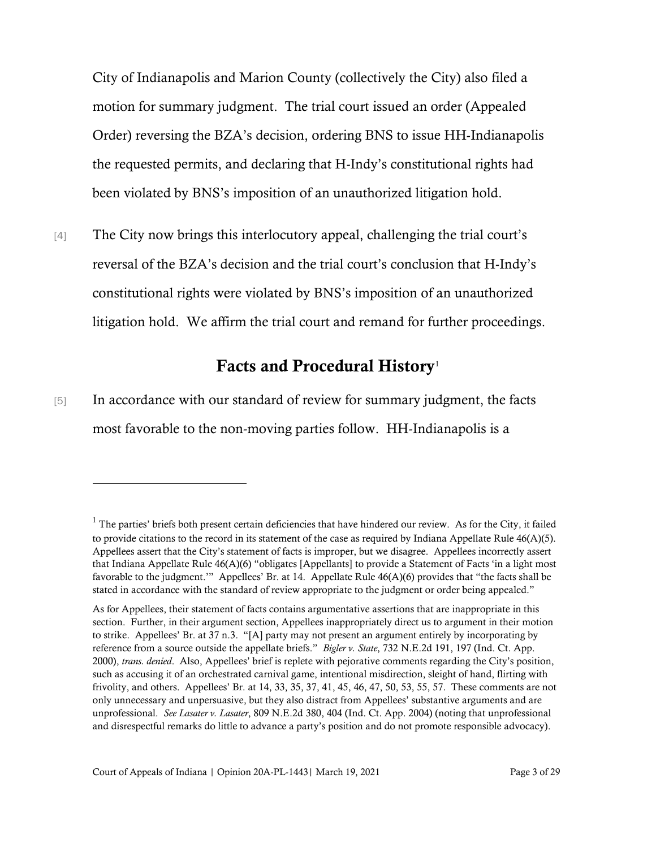City of Indianapolis and Marion County (collectively the City) also filed a motion for summary judgment. The trial court issued an order (Appealed Order) reversing the BZA's decision, ordering BNS to issue HH-Indianapolis the requested permits, and declaring that H-Indy's constitutional rights had been violated by BNS's imposition of an unauthorized litigation hold.

[4] The City now brings this interlocutory appeal, challenging the trial court's reversal of the BZA's decision and the trial court's conclusion that H-Indy's constitutional rights were violated by BNS's imposition of an unauthorized litigation hold. We affirm the trial court and remand for further proceedings.

## Facts and Procedural History<sup>[1](#page-2-0)</sup>

[5] In accordance with our standard of review for summary judgment, the facts most favorable to the non-moving parties follow. HH-Indianapolis is a

<span id="page-2-0"></span> $<sup>1</sup>$  The parties' briefs both present certain deficiencies that have hindered our review. As for the City, it failed</sup> to provide citations to the record in its statement of the case as required by Indiana Appellate Rule  $46(A)(5)$ . Appellees assert that the City's statement of facts is improper, but we disagree. Appellees incorrectly assert that Indiana Appellate Rule 46(A)(6) "obligates [Appellants] to provide a Statement of Facts 'in a light most favorable to the judgment.'" Appellees' Br. at 14. Appellate Rule 46(A)(6) provides that "the facts shall be stated in accordance with the standard of review appropriate to the judgment or order being appealed."

As for Appellees, their statement of facts contains argumentative assertions that are inappropriate in this section. Further, in their argument section, Appellees inappropriately direct us to argument in their motion to strike. Appellees' Br. at 37 n.3. "[A] party may not present an argument entirely by incorporating by reference from a source outside the appellate briefs." *Bigler v. State*, 732 N.E.2d 191, 197 (Ind. Ct. App. 2000), *trans. denied*. Also, Appellees' brief is replete with pejorative comments regarding the City's position, such as accusing it of an orchestrated carnival game, intentional misdirection, sleight of hand, flirting with frivolity, and others. Appellees' Br. at 14, 33, 35, 37, 41, 45, 46, 47, 50, 53, 55, 57. These comments are not only unnecessary and unpersuasive, but they also distract from Appellees' substantive arguments and are unprofessional. *See Lasater v. Lasater*, 809 N.E.2d 380, 404 (Ind. Ct. App. 2004) (noting that unprofessional and disrespectful remarks do little to advance a party's position and do not promote responsible advocacy).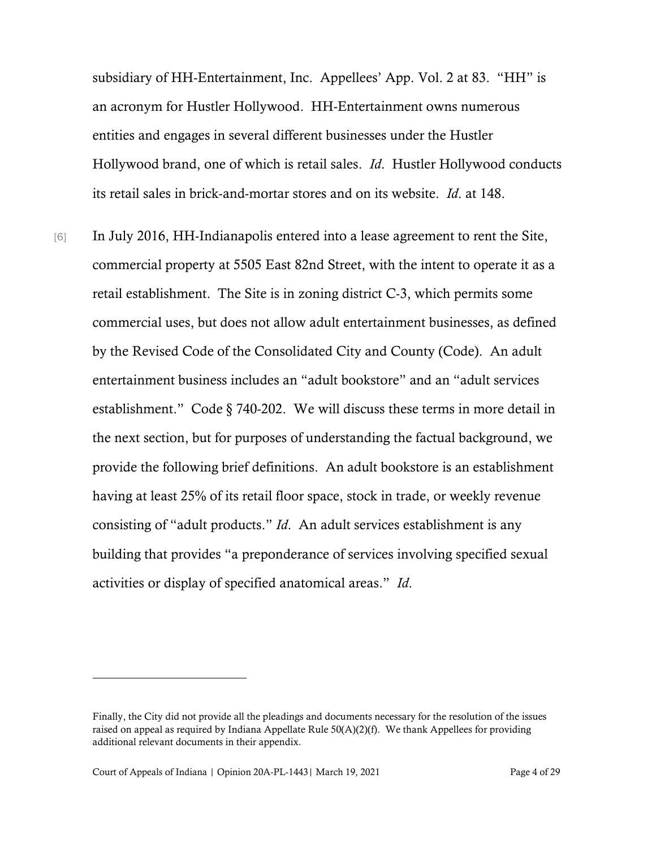subsidiary of HH-Entertainment, Inc. Appellees' App. Vol. 2 at 83. "HH" is an acronym for Hustler Hollywood. HH-Entertainment owns numerous entities and engages in several different businesses under the Hustler Hollywood brand, one of which is retail sales. *Id*. Hustler Hollywood conducts its retail sales in brick-and-mortar stores and on its website. *Id*. at 148.

[6] In July 2016, HH-Indianapolis entered into a lease agreement to rent the Site, commercial property at 5505 East 82nd Street, with the intent to operate it as a retail establishment. The Site is in zoning district C-3, which permits some commercial uses, but does not allow adult entertainment businesses, as defined by the Revised Code of the Consolidated City and County (Code). An adult entertainment business includes an "adult bookstore" and an "adult services establishment." Code § 740-202. We will discuss these terms in more detail in the next section, but for purposes of understanding the factual background, we provide the following brief definitions. An adult bookstore is an establishment having at least 25% of its retail floor space, stock in trade, or weekly revenue consisting of "adult products." *Id*. An adult services establishment is any building that provides "a preponderance of services involving specified sexual activities or display of specified anatomical areas." *Id*.

Finally, the City did not provide all the pleadings and documents necessary for the resolution of the issues raised on appeal as required by Indiana Appellate Rule  $50(A)(2)(f)$ . We thank Appellees for providing additional relevant documents in their appendix.

Court of Appeals of Indiana | Opinion 20A-PL-1443| March 19, 2021 Page 4 of 29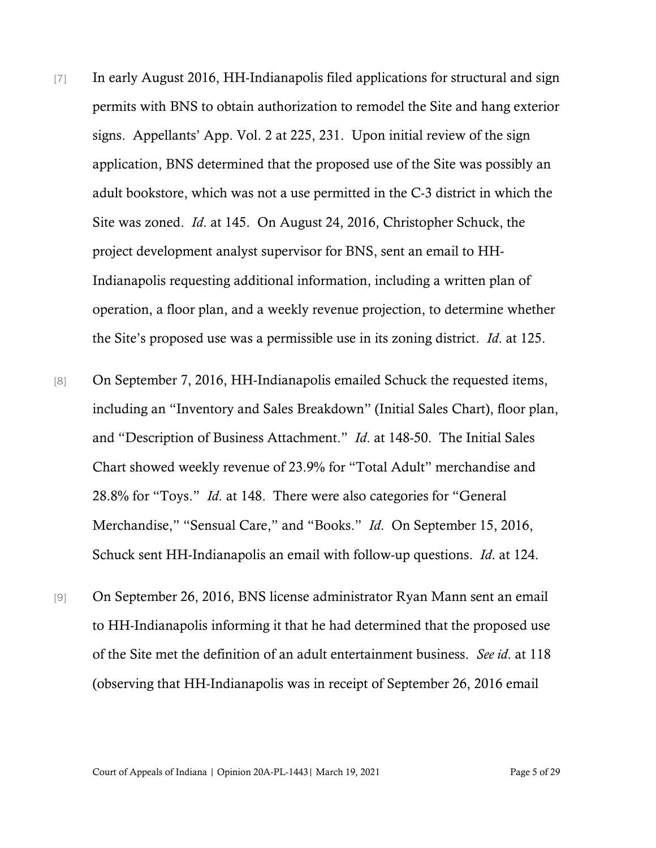- [7] In early August 2016, HH-Indianapolis filed applications for structural and sign permits with BNS to obtain authorization to remodel the Site and hang exterior signs. Appellants' App. Vol. 2 at 225, 231. Upon initial review of the sign application, BNS determined that the proposed use of the Site was possibly an adult bookstore, which was not a use permitted in the C-3 district in which the Site was zoned. *Id*. at 145. On August 24, 2016, Christopher Schuck, the project development analyst supervisor for BNS, sent an email to HH-Indianapolis requesting additional information, including a written plan of operation, a floor plan, and a weekly revenue projection, to determine whether the Site's proposed use was a permissible use in its zoning district. *Id*. at 125.
- [8] On September 7, 2016, HH-Indianapolis emailed Schuck the requested items, including an "Inventory and Sales Breakdown" (Initial Sales Chart), floor plan, and "Description of Business Attachment." *Id*. at 148-50. The Initial Sales Chart showed weekly revenue of 23.9% for "Total Adult" merchandise and 28.8% for "Toys." *Id*. at 148. There were also categories for "General Merchandise," "Sensual Care," and "Books." *Id*. On September 15, 2016, Schuck sent HH-Indianapolis an email with follow-up questions. *Id*. at 124.
- [9] On September 26, 2016, BNS license administrator Ryan Mann sent an email to HH-Indianapolis informing it that he had determined that the proposed use of the Site met the definition of an adult entertainment business. *See id*. at 118 (observing that HH-Indianapolis was in receipt of September 26, 2016 email

Court of Appeals of Indiana | Opinion 20A-PL-1443| March 19, 2021 Page 5 of 29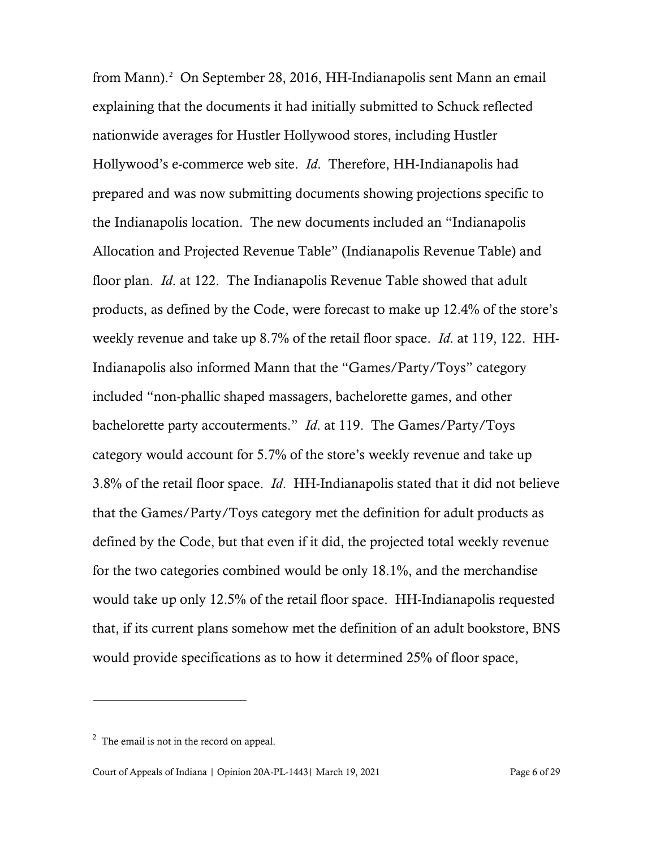from Mann). [2](#page-5-0) On September 28, 2016, HH-Indianapolis sent Mann an email explaining that the documents it had initially submitted to Schuck reflected nationwide averages for Hustler Hollywood stores, including Hustler Hollywood's e-commerce web site. *Id*. Therefore, HH-Indianapolis had prepared and was now submitting documents showing projections specific to the Indianapolis location. The new documents included an "Indianapolis Allocation and Projected Revenue Table" (Indianapolis Revenue Table) and floor plan. *Id*. at 122. The Indianapolis Revenue Table showed that adult products, as defined by the Code, were forecast to make up 12.4% of the store's weekly revenue and take up 8.7% of the retail floor space. *Id*. at 119, 122. HH-Indianapolis also informed Mann that the "Games/Party/Toys" category included "non-phallic shaped massagers, bachelorette games, and other bachelorette party accouterments." *Id*. at 119. The Games/Party/Toys category would account for 5.7% of the store's weekly revenue and take up 3.8% of the retail floor space. *Id*. HH-Indianapolis stated that it did not believe that the Games/Party/Toys category met the definition for adult products as defined by the Code, but that even if it did, the projected total weekly revenue for the two categories combined would be only 18.1%, and the merchandise would take up only 12.5% of the retail floor space. HH-Indianapolis requested that, if its current plans somehow met the definition of an adult bookstore, BNS would provide specifications as to how it determined 25% of floor space,

<span id="page-5-0"></span> $2^2$  The email is not in the record on appeal.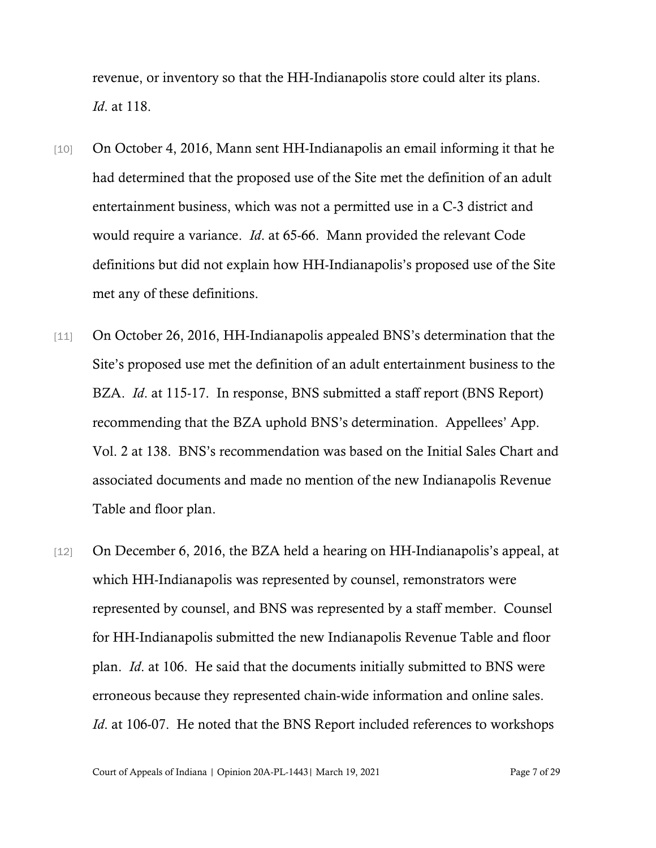revenue, or inventory so that the HH-Indianapolis store could alter its plans. *Id*. at 118.

- [10] On October 4, 2016, Mann sent HH-Indianapolis an email informing it that he had determined that the proposed use of the Site met the definition of an adult entertainment business, which was not a permitted use in a C-3 district and would require a variance. *Id*. at 65-66. Mann provided the relevant Code definitions but did not explain how HH-Indianapolis's proposed use of the Site met any of these definitions.
- [11] On October 26, 2016, HH-Indianapolis appealed BNS's determination that the Site's proposed use met the definition of an adult entertainment business to the BZA. *Id*. at 115-17. In response, BNS submitted a staff report (BNS Report) recommending that the BZA uphold BNS's determination. Appellees' App. Vol. 2 at 138. BNS's recommendation was based on the Initial Sales Chart and associated documents and made no mention of the new Indianapolis Revenue Table and floor plan.
- [12] On December 6, 2016, the BZA held a hearing on HH-Indianapolis's appeal, at which HH-Indianapolis was represented by counsel, remonstrators were represented by counsel, and BNS was represented by a staff member. Counsel for HH-Indianapolis submitted the new Indianapolis Revenue Table and floor plan. *Id*. at 106. He said that the documents initially submitted to BNS were erroneous because they represented chain-wide information and online sales. *Id.* at 106-07. He noted that the BNS Report included references to workshops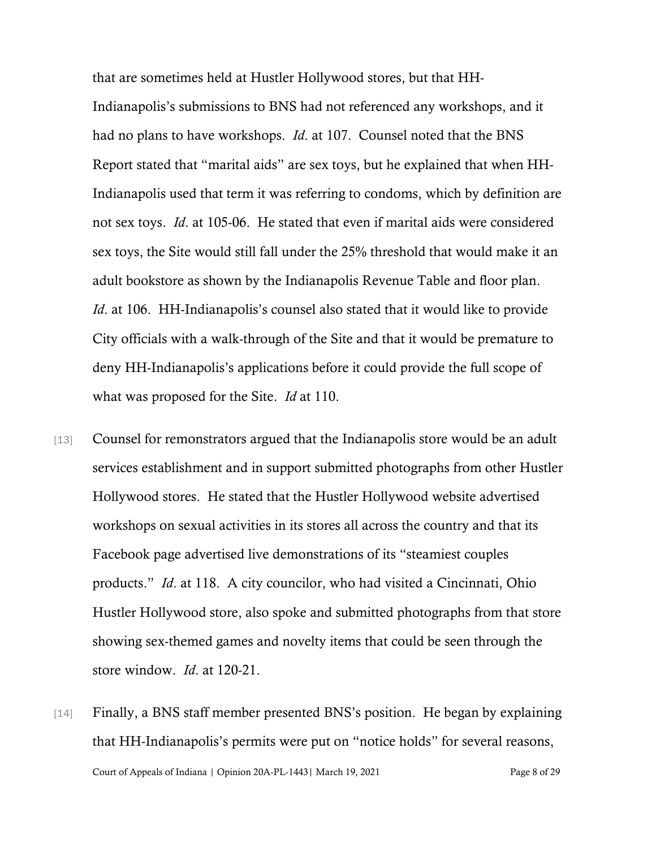that are sometimes held at Hustler Hollywood stores, but that HH-Indianapolis's submissions to BNS had not referenced any workshops, and it had no plans to have workshops. *Id*. at 107. Counsel noted that the BNS Report stated that "marital aids" are sex toys, but he explained that when HH-Indianapolis used that term it was referring to condoms, which by definition are not sex toys. *Id*. at 105-06. He stated that even if marital aids were considered sex toys, the Site would still fall under the 25% threshold that would make it an adult bookstore as shown by the Indianapolis Revenue Table and floor plan. *Id.* at 106. HH-Indianapolis's counsel also stated that it would like to provide City officials with a walk-through of the Site and that it would be premature to deny HH-Indianapolis's applications before it could provide the full scope of what was proposed for the Site. *Id* at 110.

- [13] Counsel for remonstrators argued that the Indianapolis store would be an adult services establishment and in support submitted photographs from other Hustler Hollywood stores. He stated that the Hustler Hollywood website advertised workshops on sexual activities in its stores all across the country and that its Facebook page advertised live demonstrations of its "steamiest couples products." *Id*. at 118. A city councilor, who had visited a Cincinnati, Ohio Hustler Hollywood store, also spoke and submitted photographs from that store showing sex-themed games and novelty items that could be seen through the store window. *Id*. at 120-21.
- Court of Appeals of Indiana | Opinion 20A-PL-1443| March 19, 2021 Page 8 of 29 [14] Finally, a BNS staff member presented BNS's position. He began by explaining that HH-Indianapolis's permits were put on "notice holds" for several reasons,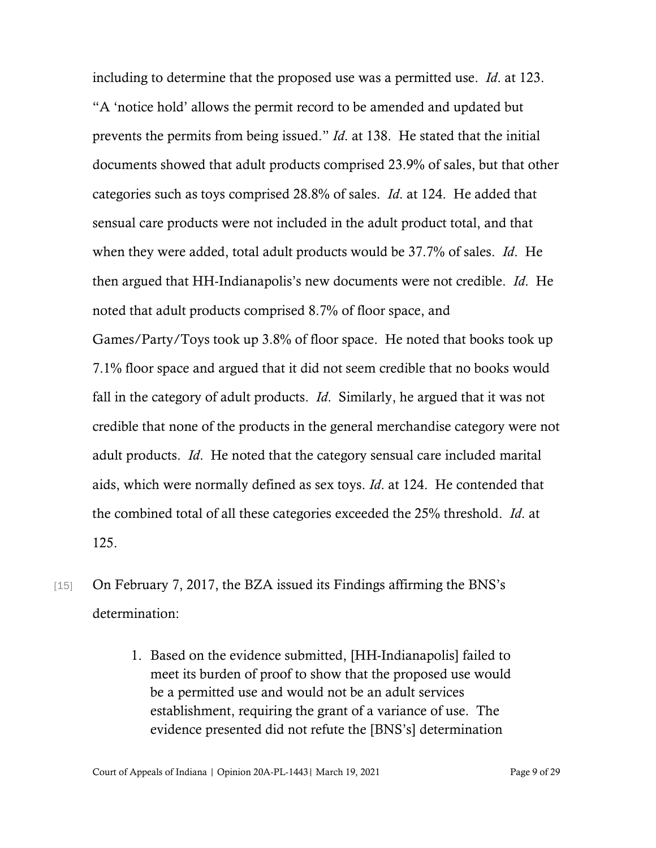including to determine that the proposed use was a permitted use. *Id*. at 123.

"A 'notice hold' allows the permit record to be amended and updated but prevents the permits from being issued." *Id*. at 138. He stated that the initial documents showed that adult products comprised 23.9% of sales, but that other categories such as toys comprised 28.8% of sales. *Id*. at 124. He added that sensual care products were not included in the adult product total, and that when they were added, total adult products would be 37.7% of sales. *Id*. He then argued that HH-Indianapolis's new documents were not credible. *Id*. He noted that adult products comprised 8.7% of floor space, and Games/Party/Toys took up 3.8% of floor space. He noted that books took up 7.1% floor space and argued that it did not seem credible that no books would fall in the category of adult products. *Id*. Similarly, he argued that it was not credible that none of the products in the general merchandise category were not adult products. *Id*. He noted that the category sensual care included marital aids, which were normally defined as sex toys. *Id*. at 124. He contended that the combined total of all these categories exceeded the 25% threshold. *Id*. at 125.

- [15] On February 7, 2017, the BZA issued its Findings affirming the BNS's determination:
	- 1. Based on the evidence submitted, [HH-Indianapolis] failed to meet its burden of proof to show that the proposed use would be a permitted use and would not be an adult services establishment, requiring the grant of a variance of use. The evidence presented did not refute the [BNS's] determination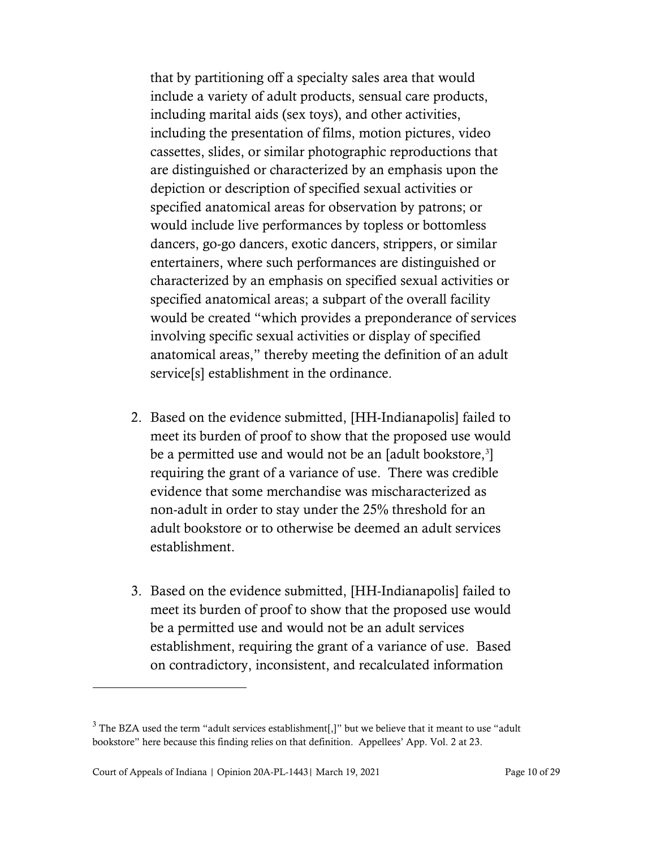that by partitioning off a specialty sales area that would include a variety of adult products, sensual care products, including marital aids (sex toys), and other activities, including the presentation of films, motion pictures, video cassettes, slides, or similar photographic reproductions that are distinguished or characterized by an emphasis upon the depiction or description of specified sexual activities or specified anatomical areas for observation by patrons; or would include live performances by topless or bottomless dancers, go-go dancers, exotic dancers, strippers, or similar entertainers, where such performances are distinguished or characterized by an emphasis on specified sexual activities or specified anatomical areas; a subpart of the overall facility would be created "which provides a preponderance of services involving specific sexual activities or display of specified anatomical areas," thereby meeting the definition of an adult service[s] establishment in the ordinance.

- 2. Based on the evidence submitted, [HH-Indianapolis] failed to meet its burden of proof to show that the proposed use would be a permitted use and would not be an [adult bookstore,<sup>[3](#page-9-0)</sup>] requiring the grant of a variance of use. There was credible evidence that some merchandise was mischaracterized as non-adult in order to stay under the 25% threshold for an adult bookstore or to otherwise be deemed an adult services establishment.
- 3. Based on the evidence submitted, [HH-Indianapolis] failed to meet its burden of proof to show that the proposed use would be a permitted use and would not be an adult services establishment, requiring the grant of a variance of use. Based on contradictory, inconsistent, and recalculated information

<span id="page-9-0"></span> $3$  The BZA used the term "adult services establishment[,]" but we believe that it meant to use "adult" bookstore" here because this finding relies on that definition. Appellees' App. Vol. 2 at 23.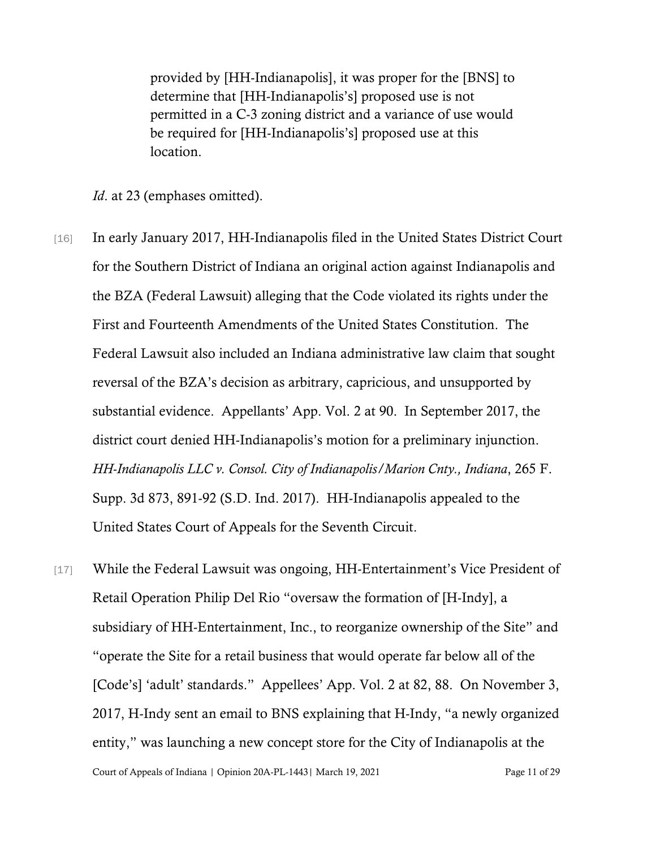provided by [HH-Indianapolis], it was proper for the [BNS] to determine that [HH-Indianapolis's] proposed use is not permitted in a C-3 zoning district and a variance of use would be required for [HH-Indianapolis's] proposed use at this location.

*Id.* at 23 (emphases omitted).

- [16] In early January 2017, HH-Indianapolis filed in the United States District Court for the Southern District of Indiana an original action against Indianapolis and the BZA (Federal Lawsuit) alleging that the Code violated its rights under the First and Fourteenth Amendments of the United States Constitution. The Federal Lawsuit also included an Indiana administrative law claim that sought reversal of the BZA's decision as arbitrary, capricious, and unsupported by substantial evidence. Appellants' App. Vol. 2 at 90. In September 2017, the district court denied HH-Indianapolis's motion for a preliminary injunction. *HH-Indianapolis LLC v. Consol. City of Indianapolis/Marion Cnty., Indiana*, 265 F. Supp. 3d 873, 891-92 (S.D. Ind. 2017). HH-Indianapolis appealed to the United States Court of Appeals for the Seventh Circuit.
- Court of Appeals of Indiana | Opinion 20A-PL-1443 | March 19, 2021 Page 11 of 29 [17] While the Federal Lawsuit was ongoing, HH-Entertainment's Vice President of Retail Operation Philip Del Rio "oversaw the formation of [H-Indy], a subsidiary of HH-Entertainment, Inc., to reorganize ownership of the Site" and "operate the Site for a retail business that would operate far below all of the [Code's] 'adult' standards." Appellees' App. Vol. 2 at 82, 88. On November 3, 2017, H-Indy sent an email to BNS explaining that H-Indy, "a newly organized entity," was launching a new concept store for the City of Indianapolis at the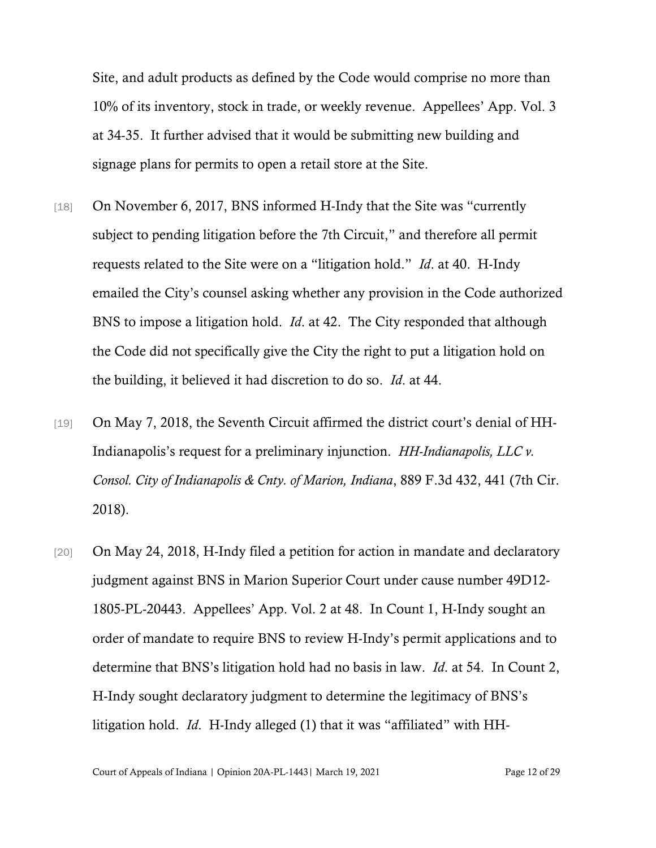Site, and adult products as defined by the Code would comprise no more than 10% of its inventory, stock in trade, or weekly revenue. Appellees' App. Vol. 3 at 34-35. It further advised that it would be submitting new building and signage plans for permits to open a retail store at the Site.

- [18] On November 6, 2017, BNS informed H-Indy that the Site was "currently subject to pending litigation before the 7th Circuit," and therefore all permit requests related to the Site were on a "litigation hold." *Id*. at 40. H-Indy emailed the City's counsel asking whether any provision in the Code authorized BNS to impose a litigation hold. *Id*. at 42. The City responded that although the Code did not specifically give the City the right to put a litigation hold on the building, it believed it had discretion to do so. *Id*. at 44.
- [19] On May 7, 2018, the Seventh Circuit affirmed the district court's denial of HH-Indianapolis's request for a preliminary injunction. *HH-Indianapolis, LLC v. Consol. City of Indianapolis & Cnty. of Marion, Indiana*, 889 F.3d 432, 441 (7th Cir. 2018).
- [20] On May 24, 2018, H-Indy filed a petition for action in mandate and declaratory judgment against BNS in Marion Superior Court under cause number 49D12- 1805-PL-20443. Appellees' App. Vol. 2 at 48. In Count 1, H-Indy sought an order of mandate to require BNS to review H-Indy's permit applications and to determine that BNS's litigation hold had no basis in law. *Id*. at 54. In Count 2, H-Indy sought declaratory judgment to determine the legitimacy of BNS's litigation hold. *Id*. H-Indy alleged (1) that it was "affiliated" with HH-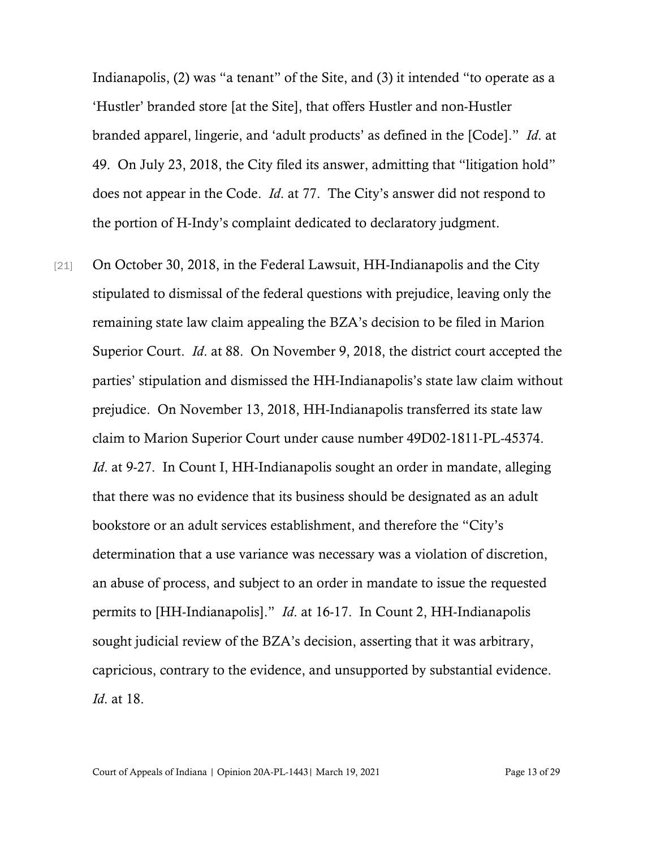Indianapolis, (2) was "a tenant" of the Site, and (3) it intended "to operate as a 'Hustler' branded store [at the Site], that offers Hustler and non-Hustler branded apparel, lingerie, and 'adult products' as defined in the [Code]." *Id*. at 49. On July 23, 2018, the City filed its answer, admitting that "litigation hold" does not appear in the Code. *Id*. at 77. The City's answer did not respond to the portion of H-Indy's complaint dedicated to declaratory judgment.

[21] On October 30, 2018, in the Federal Lawsuit, HH-Indianapolis and the City stipulated to dismissal of the federal questions with prejudice, leaving only the remaining state law claim appealing the BZA's decision to be filed in Marion Superior Court. *Id*. at 88. On November 9, 2018, the district court accepted the parties' stipulation and dismissed the HH-Indianapolis's state law claim without prejudice. On November 13, 2018, HH-Indianapolis transferred its state law claim to Marion Superior Court under cause number 49D02-1811-PL-45374. *Id.* at 9-27. In Count I, HH-Indianapolis sought an order in mandate, alleging that there was no evidence that its business should be designated as an adult bookstore or an adult services establishment, and therefore the "City's determination that a use variance was necessary was a violation of discretion, an abuse of process, and subject to an order in mandate to issue the requested permits to [HH-Indianapolis]." *Id*. at 16-17. In Count 2, HH-Indianapolis sought judicial review of the BZA's decision, asserting that it was arbitrary, capricious, contrary to the evidence, and unsupported by substantial evidence. *Id*. at 18.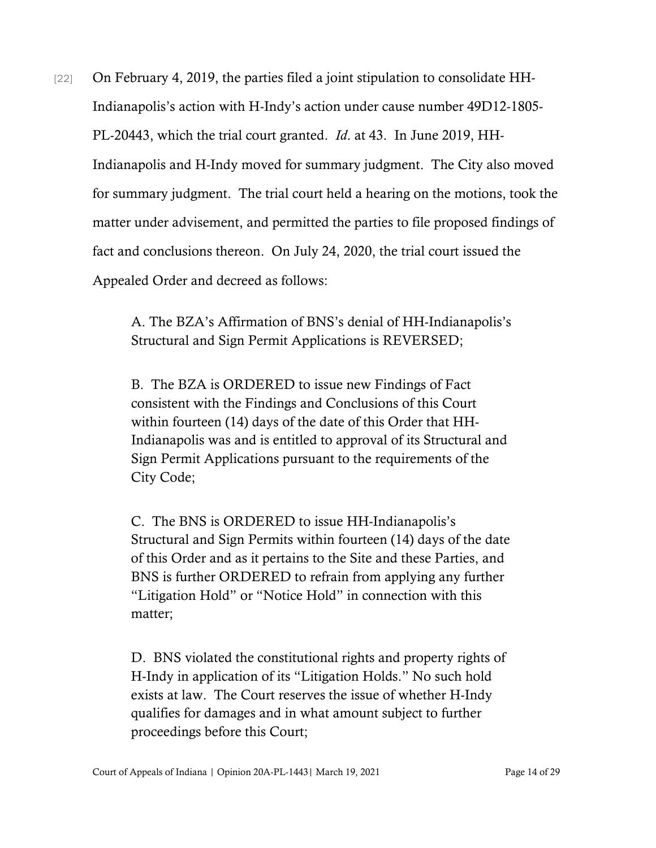[22] On February 4, 2019, the parties filed a joint stipulation to consolidate HH-Indianapolis's action with H-Indy's action under cause number 49D12-1805- PL-20443, which the trial court granted. *Id*. at 43. In June 2019, HH-Indianapolis and H-Indy moved for summary judgment. The City also moved for summary judgment. The trial court held a hearing on the motions, took the matter under advisement, and permitted the parties to file proposed findings of fact and conclusions thereon. On July 24, 2020, the trial court issued the Appealed Order and decreed as follows:

> A. The BZA's Affirmation of BNS's denial of HH-Indianapolis's Structural and Sign Permit Applications is REVERSED;

B. The BZA is ORDERED to issue new Findings of Fact consistent with the Findings and Conclusions of this Court within fourteen (14) days of the date of this Order that HH-Indianapolis was and is entitled to approval of its Structural and Sign Permit Applications pursuant to the requirements of the City Code;

C. The BNS is ORDERED to issue HH-Indianapolis's Structural and Sign Permits within fourteen (14) days of the date of this Order and as it pertains to the Site and these Parties, and BNS is further ORDERED to refrain from applying any further "Litigation Hold" or "Notice Hold" in connection with this matter;

D. BNS violated the constitutional rights and property rights of H-Indy in application of its "Litigation Holds." No such hold exists at law. The Court reserves the issue of whether H-Indy qualifies for damages and in what amount subject to further proceedings before this Court;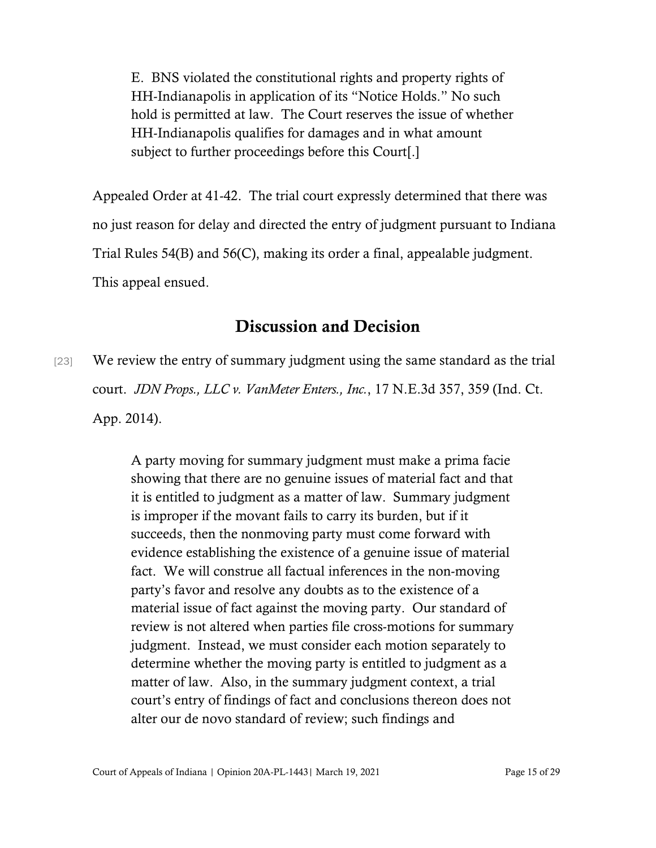E. BNS violated the constitutional rights and property rights of HH-Indianapolis in application of its "Notice Holds." No such hold is permitted at law. The Court reserves the issue of whether HH-Indianapolis qualifies for damages and in what amount subject to further proceedings before this Court[.]

Appealed Order at 41-42. The trial court expressly determined that there was no just reason for delay and directed the entry of judgment pursuant to Indiana Trial Rules 54(B) and 56(C), making its order a final, appealable judgment. This appeal ensued.

## Discussion and Decision

[23] We review the entry of summary judgment using the same standard as the trial court. *JDN Props., LLC v. VanMeter Enters., Inc.*, 17 N.E.3d 357, 359 (Ind. Ct. App. 2014).

> A party moving for summary judgment must make a prima facie showing that there are no genuine issues of material fact and that it is entitled to judgment as a matter of law. Summary judgment is improper if the movant fails to carry its burden, but if it succeeds, then the nonmoving party must come forward with evidence establishing the existence of a genuine issue of material fact. We will construe all factual inferences in the non-moving party's favor and resolve any doubts as to the existence of a material issue of fact against the moving party. Our standard of review is not altered when parties file cross-motions for summary judgment. Instead, we must consider each motion separately to determine whether the moving party is entitled to judgment as a matter of law. Also, in the summary judgment context, a trial court's entry of findings of fact and conclusions thereon does not alter our de novo standard of review; such findings and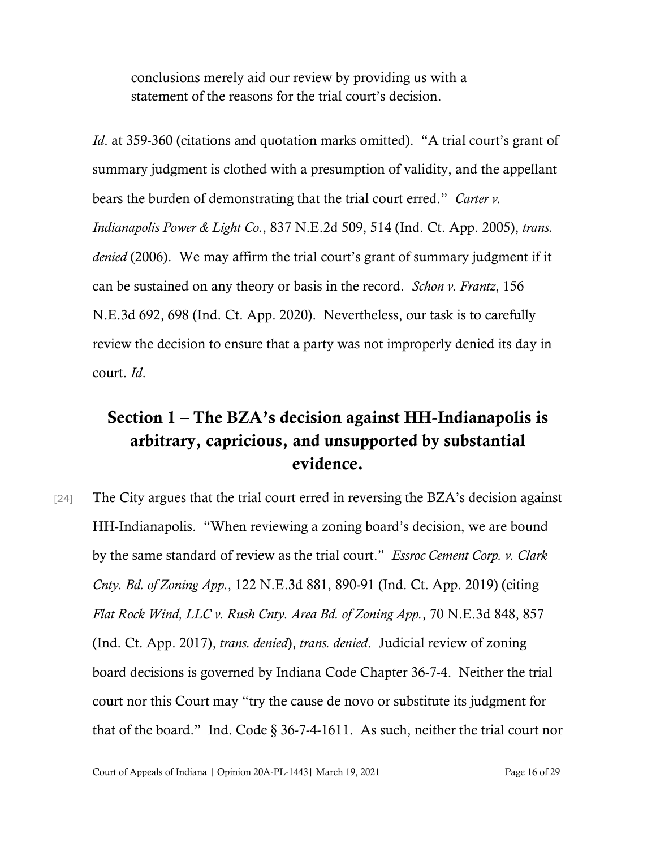conclusions merely aid our review by providing us with a statement of the reasons for the trial court's decision.

*Id.* at 359-360 (citations and quotation marks omitted). "A trial court's grant of summary judgment is clothed with a presumption of validity, and the appellant bears the burden of demonstrating that the trial court erred." *Carter v. Indianapolis Power & Light Co.*, 837 N.E.2d 509, 514 (Ind. Ct. App. 2005), *trans. denied* (2006). We may affirm the trial court's grant of summary judgment if it can be sustained on any theory or basis in the record. *Schon v. Frantz*, 156 N.E.3d 692, 698 (Ind. Ct. App. 2020). Nevertheless, our task is to carefully review the decision to ensure that a party was not improperly denied its day in court. *Id*.

# Section 1 – The BZA's decision against HH-Indianapolis is arbitrary, capricious, and unsupported by substantial evidence.

[24] The City argues that the trial court erred in reversing the BZA's decision against HH-Indianapolis. "When reviewing a zoning board's decision, we are bound by the same standard of review as the trial court." *Essroc Cement Corp. v. Clark Cnty. Bd. of Zoning App.*, 122 N.E.3d 881, 890-91 (Ind. Ct. App. 2019) (citing *Flat Rock Wind, LLC v. Rush Cnty. Area Bd. of Zoning App.*, 70 N.E.3d 848, 857 (Ind. Ct. App. 2017), *trans. denied*), *trans. denied*. Judicial review of zoning board decisions is governed by Indiana Code Chapter 36-7-4. Neither the trial court nor this Court may "try the cause de novo or substitute its judgment for that of the board." Ind. Code § 36-7-4-1611. As such, neither the trial court nor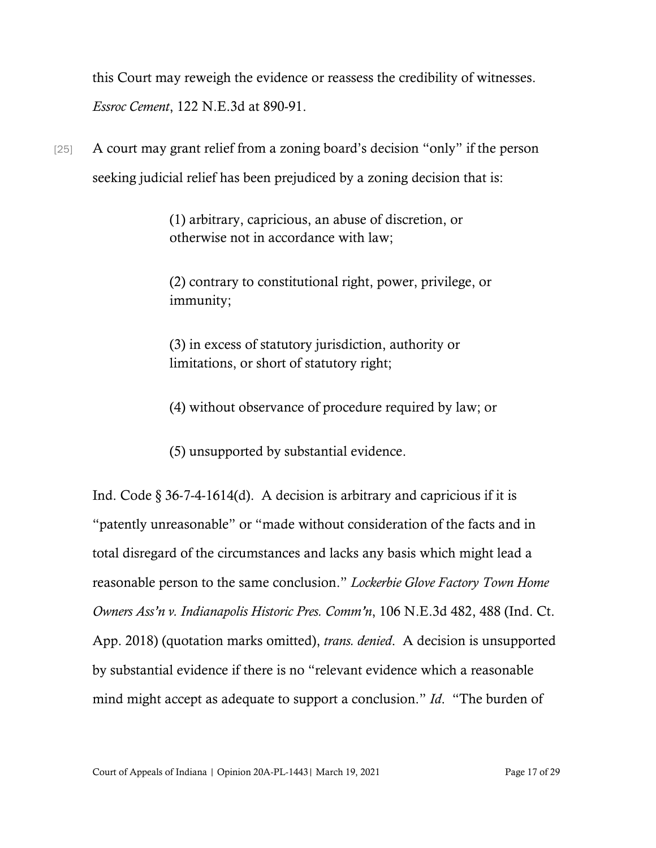this Court may reweigh the evidence or reassess the credibility of witnesses. *Essroc Cement*, 122 N.E.3d at 890-91.

[25] A court may grant relief from a zoning board's decision "only" if the person seeking judicial relief has been prejudiced by a zoning decision that is:

> (1) arbitrary, capricious, an abuse of discretion, or otherwise not in accordance with law;

(2) contrary to constitutional right, power, privilege, or immunity;

(3) in excess of statutory jurisdiction, authority or limitations, or short of statutory right;

(4) without observance of procedure required by law; or

(5) unsupported by substantial evidence.

Ind. Code  $\S 36-7-4-1614(d)$ . A decision is arbitrary and capricious if it is "patently unreasonable" or "made without consideration of the facts and in total disregard of the circumstances and lacks any basis which might lead a reasonable person to the same conclusion." *Lockerbie Glove Factory Town Home Owners Ass'n v. Indianapolis Historic Pres. Comm'n*, 106 N.E.3d 482, 488 (Ind. Ct. App. 2018) (quotation marks omitted), *trans. denied*. A decision is unsupported by substantial evidence if there is no "relevant evidence which a reasonable mind might accept as adequate to support a conclusion." *Id*. "The burden of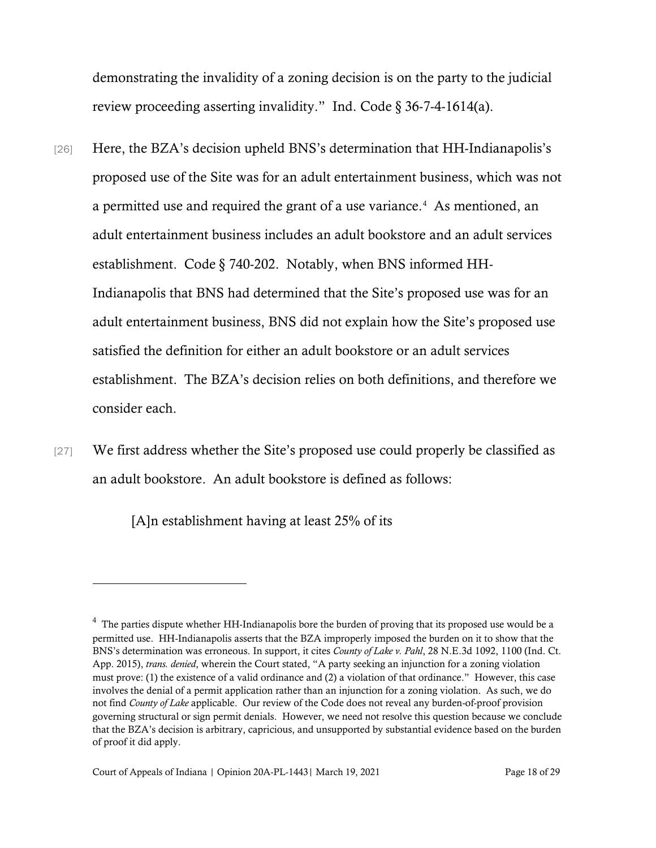demonstrating the invalidity of a zoning decision is on the party to the judicial review proceeding asserting invalidity." Ind. Code  $\S 36-7-4-1614(a)$ .

- [26] Here, the BZA's decision upheld BNS's determination that HH-Indianapolis's proposed use of the Site was for an adult entertainment business, which was not a permitted use and required the grant of a use variance.<sup>[4](#page-17-0)</sup> As mentioned, an adult entertainment business includes an adult bookstore and an adult services establishment. Code § 740-202. Notably, when BNS informed HH-Indianapolis that BNS had determined that the Site's proposed use was for an adult entertainment business, BNS did not explain how the Site's proposed use satisfied the definition for either an adult bookstore or an adult services establishment. The BZA's decision relies on both definitions, and therefore we consider each.
- [27] We first address whether the Site's proposed use could properly be classified as an adult bookstore. An adult bookstore is defined as follows:

[A]n establishment having at least 25% of its

<span id="page-17-0"></span> $4$  The parties dispute whether HH-Indianapolis bore the burden of proving that its proposed use would be a permitted use. HH-Indianapolis asserts that the BZA improperly imposed the burden on it to show that the BNS's determination was erroneous. In support, it cites *County of Lake v. Pahl*, 28 N.E.3d 1092, 1100 (Ind. Ct. App. 2015), *trans. denied*, wherein the Court stated, "A party seeking an injunction for a zoning violation must prove: (1) the existence of a valid ordinance and (2) a violation of that ordinance." However, this case involves the denial of a permit application rather than an injunction for a zoning violation. As such, we do not find *County of Lake* applicable. Our review of the Code does not reveal any burden-of-proof provision governing structural or sign permit denials. However, we need not resolve this question because we conclude that the BZA's decision is arbitrary, capricious, and unsupported by substantial evidence based on the burden of proof it did apply.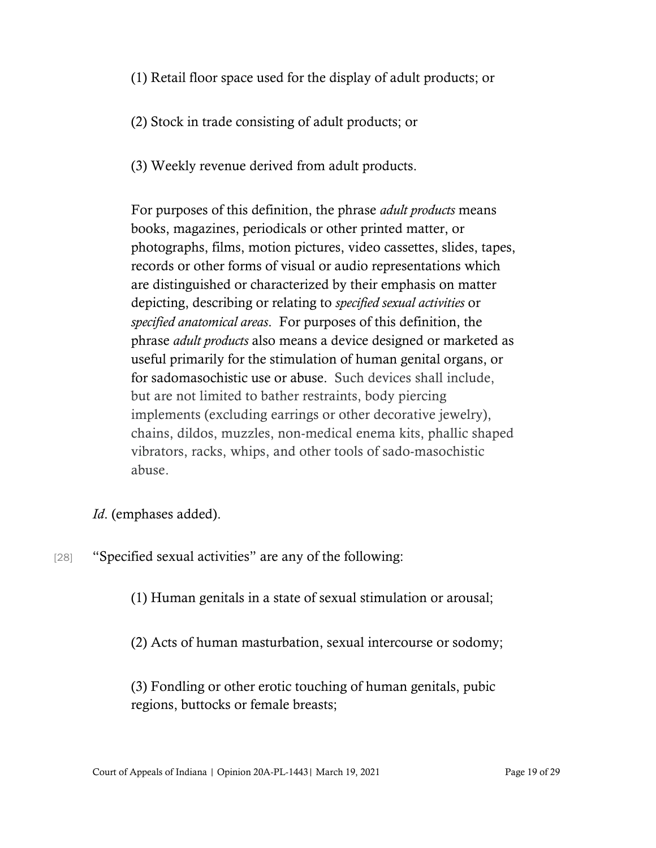(1) Retail floor space used for the display of adult products; or

(2) Stock in trade consisting of adult products; or

(3) Weekly revenue derived from adult products.

For purposes of this definition, the phrase *adult products* means books, magazines, periodicals or other printed matter, or photographs, films, motion pictures, video cassettes, slides, tapes, records or other forms of visual or audio representations which are distinguished or characterized by their emphasis on matter depicting, describing or relating to *specified sexual activities* or *specified anatomical areas*. For purposes of this definition, the phrase *adult products* also means a device designed or marketed as useful primarily for the stimulation of human genital organs, or for sadomasochistic use or abuse. Such devices shall include, but are not limited to bather restraints, body piercing implements (excluding earrings or other decorative jewelry), chains, dildos, muzzles, non-medical enema kits, phallic shaped vibrators, racks, whips, and other tools of sado-masochistic abuse.

*Id*. (emphases added).

[28] "Specified sexual activities" are any of the following:

(1) Human genitals in a state of sexual stimulation or arousal;

(2) Acts of human masturbation, sexual intercourse or sodomy;

(3) Fondling or other erotic touching of human genitals, pubic regions, buttocks or female breasts;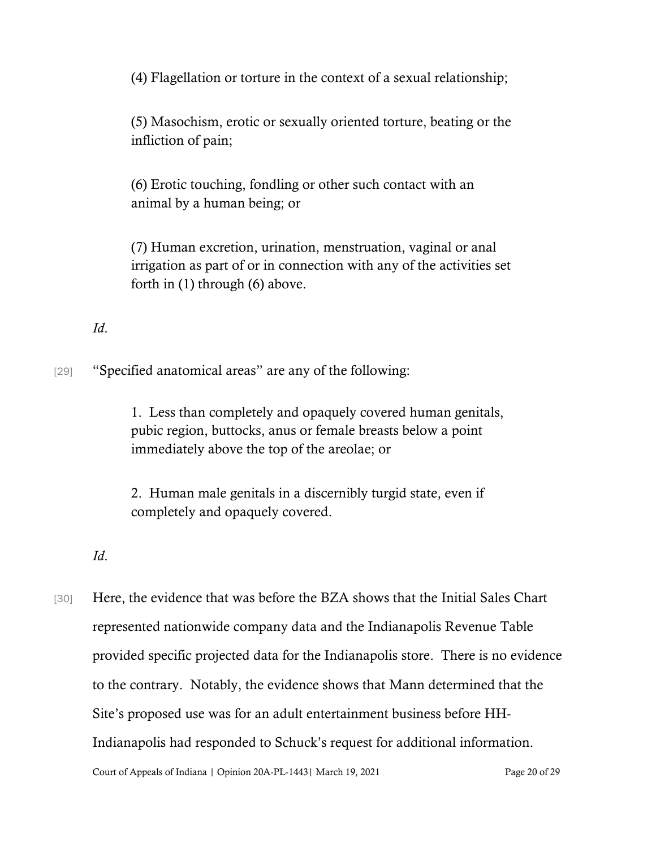(4) Flagellation or torture in the context of a sexual relationship;

(5) Masochism, erotic or sexually oriented torture, beating or the infliction of pain;

(6) Erotic touching, fondling or other such contact with an animal by a human being; or

(7) Human excretion, urination, menstruation, vaginal or anal irrigation as part of or in connection with any of the activities set forth in (1) through (6) above.

### *Id*.

[29] "Specified anatomical areas" are any of the following:

1. Less than completely and opaquely covered human genitals, pubic region, buttocks, anus or female breasts below a point immediately above the top of the areolae; or

2. Human male genitals in a discernibly turgid state, even if completely and opaquely covered.

#### *Id*.

[30] Here, the evidence that was before the BZA shows that the Initial Sales Chart represented nationwide company data and the Indianapolis Revenue Table provided specific projected data for the Indianapolis store. There is no evidence to the contrary. Notably, the evidence shows that Mann determined that the Site's proposed use was for an adult entertainment business before HH-Indianapolis had responded to Schuck's request for additional information.

Court of Appeals of Indiana | Opinion 20A-PL-1443 | March 19, 2021 Page 20 of 29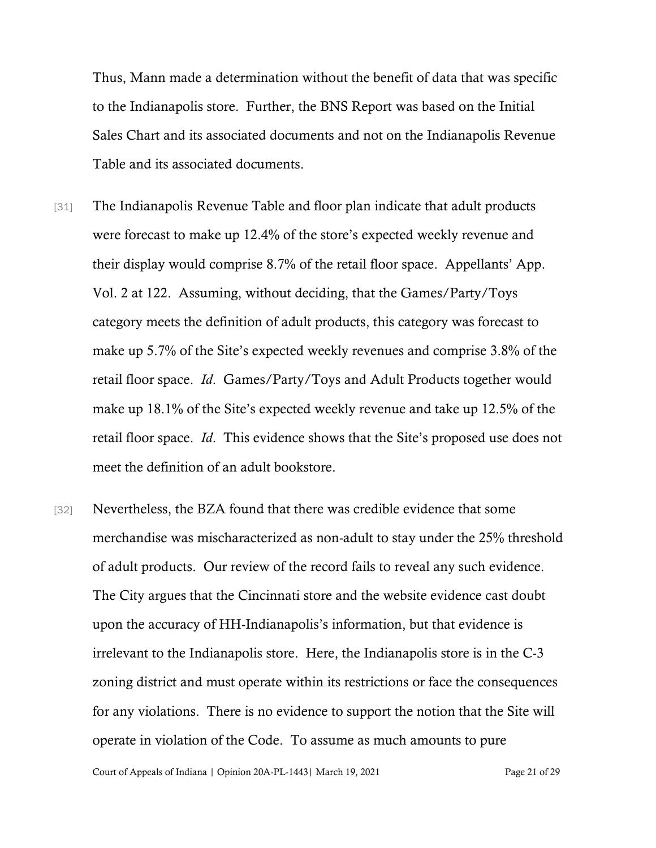Thus, Mann made a determination without the benefit of data that was specific to the Indianapolis store. Further, the BNS Report was based on the Initial Sales Chart and its associated documents and not on the Indianapolis Revenue Table and its associated documents.

- [31] The Indianapolis Revenue Table and floor plan indicate that adult products were forecast to make up 12.4% of the store's expected weekly revenue and their display would comprise 8.7% of the retail floor space. Appellants' App. Vol. 2 at 122. Assuming, without deciding, that the Games/Party/Toys category meets the definition of adult products, this category was forecast to make up 5.7% of the Site's expected weekly revenues and comprise 3.8% of the retail floor space. *Id*. Games/Party/Toys and Adult Products together would make up 18.1% of the Site's expected weekly revenue and take up 12.5% of the retail floor space. *Id*. This evidence shows that the Site's proposed use does not meet the definition of an adult bookstore.
- [32] Nevertheless, the BZA found that there was credible evidence that some merchandise was mischaracterized as non-adult to stay under the 25% threshold of adult products. Our review of the record fails to reveal any such evidence. The City argues that the Cincinnati store and the website evidence cast doubt upon the accuracy of HH-Indianapolis's information, but that evidence is irrelevant to the Indianapolis store. Here, the Indianapolis store is in the C-3 zoning district and must operate within its restrictions or face the consequences for any violations. There is no evidence to support the notion that the Site will operate in violation of the Code. To assume as much amounts to pure

Court of Appeals of Indiana | Opinion 20A-PL-1443 | March 19, 2021 Page 21 of 29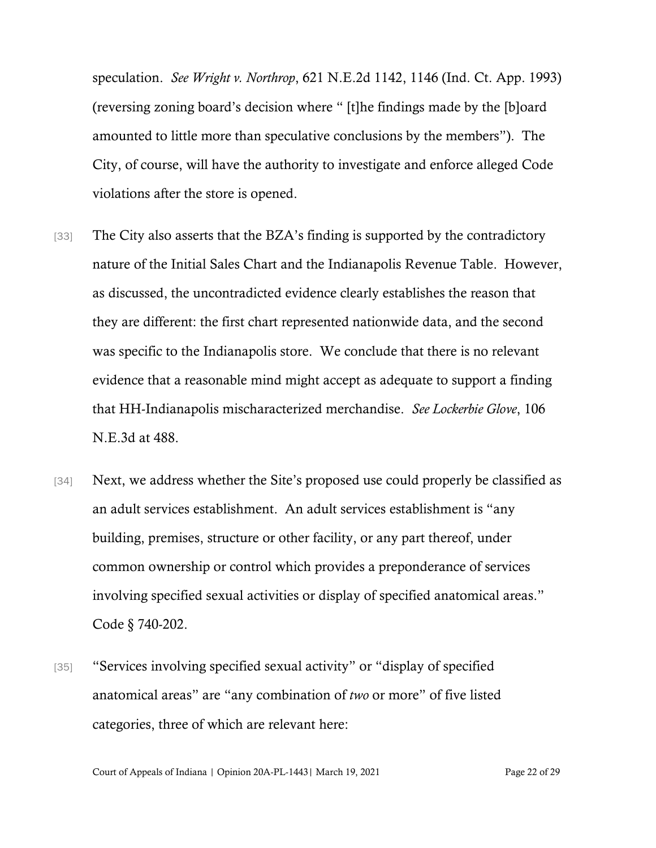speculation. *See Wright v. Northrop*, 621 N.E.2d 1142, 1146 (Ind. Ct. App. 1993) (reversing zoning board's decision where " [t]he findings made by the [b]oard amounted to little more than speculative conclusions by the members"). The City, of course, will have the authority to investigate and enforce alleged Code violations after the store is opened.

- [33] The City also asserts that the BZA's finding is supported by the contradictory nature of the Initial Sales Chart and the Indianapolis Revenue Table. However, as discussed, the uncontradicted evidence clearly establishes the reason that they are different: the first chart represented nationwide data, and the second was specific to the Indianapolis store. We conclude that there is no relevant evidence that a reasonable mind might accept as adequate to support a finding that HH-Indianapolis mischaracterized merchandise. *See Lockerbie Glove*, 106 N.E.3d at 488.
- [34] Next, we address whether the Site's proposed use could properly be classified as an adult services establishment. An adult services establishment is "any building, premises, structure or other facility, or any part thereof, under common ownership or control which provides a preponderance of services involving specified sexual activities or display of specified anatomical areas." Code § 740-202.
- [35] "Services involving specified sexual activity" or "display of specified" anatomical areas" are "any combination of *two* or more" of five listed categories, three of which are relevant here: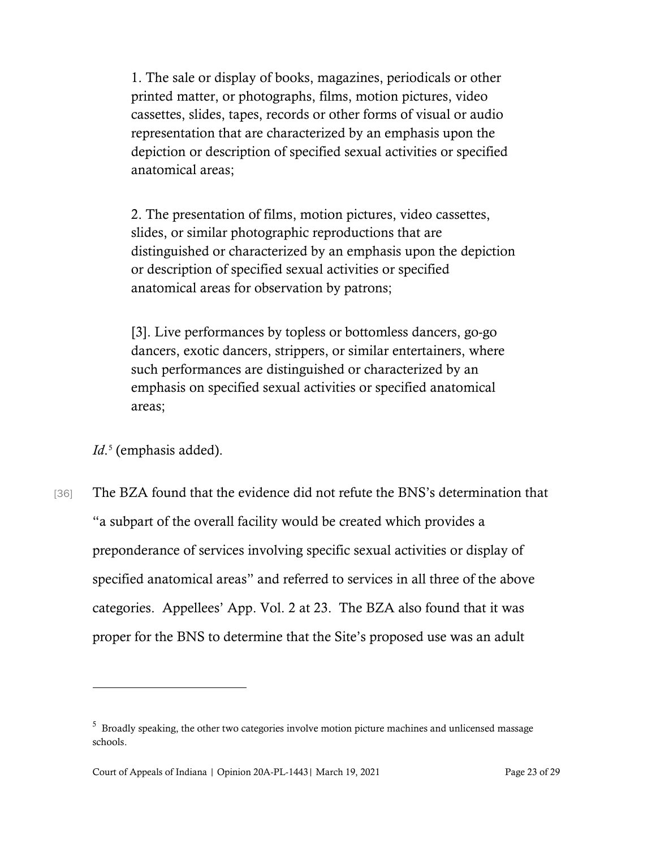1. The sale or display of books, magazines, periodicals or other printed matter, or photographs, films, motion pictures, video cassettes, slides, tapes, records or other forms of visual or audio representation that are characterized by an emphasis upon the depiction or description of specified sexual activities or specified anatomical areas;

2. The presentation of films, motion pictures, video cassettes, slides, or similar photographic reproductions that are distinguished or characterized by an emphasis upon the depiction or description of specified sexual activities or specified anatomical areas for observation by patrons;

[3]. Live performances by topless or bottomless dancers, go-go dancers, exotic dancers, strippers, or similar entertainers, where such performances are distinguished or characterized by an emphasis on specified sexual activities or specified anatomical areas;

*Id*. [5](#page-22-0) (emphasis added).

[36] The BZA found that the evidence did not refute the BNS's determination that "a subpart of the overall facility would be created which provides a preponderance of services involving specific sexual activities or display of specified anatomical areas" and referred to services in all three of the above categories. Appellees' App. Vol. 2 at 23. The BZA also found that it was proper for the BNS to determine that the Site's proposed use was an adult

<span id="page-22-0"></span><sup>&</sup>lt;sup>5</sup> Broadly speaking, the other two categories involve motion picture machines and unlicensed massage schools.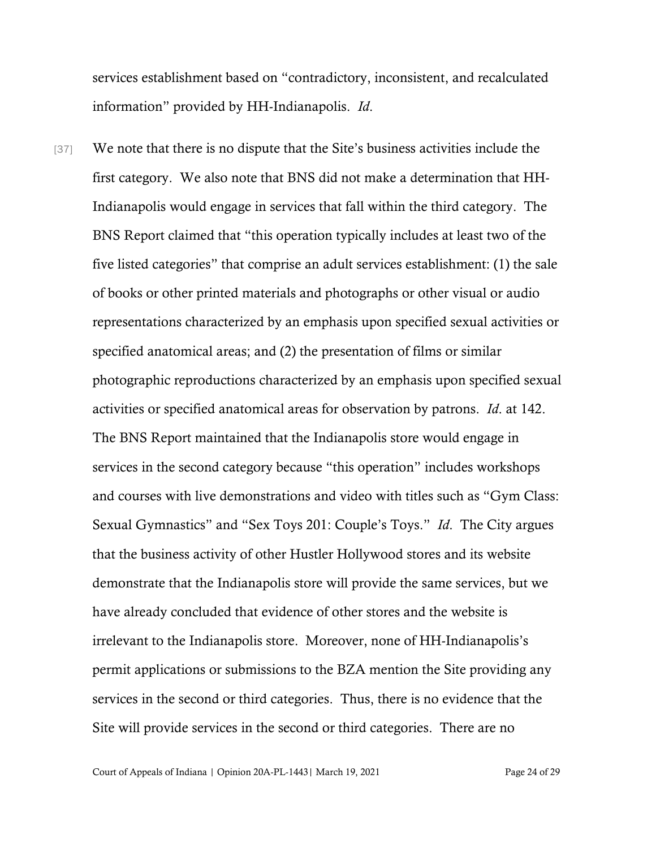services establishment based on "contradictory, inconsistent, and recalculated information" provided by HH-Indianapolis. *Id*.

[37] We note that there is no dispute that the Site's business activities include the first category. We also note that BNS did not make a determination that HH-Indianapolis would engage in services that fall within the third category. The BNS Report claimed that "this operation typically includes at least two of the five listed categories" that comprise an adult services establishment: (1) the sale of books or other printed materials and photographs or other visual or audio representations characterized by an emphasis upon specified sexual activities or specified anatomical areas; and (2) the presentation of films or similar photographic reproductions characterized by an emphasis upon specified sexual activities or specified anatomical areas for observation by patrons. *Id*. at 142. The BNS Report maintained that the Indianapolis store would engage in services in the second category because "this operation" includes workshops and courses with live demonstrations and video with titles such as "Gym Class: Sexual Gymnastics" and "Sex Toys 201: Couple's Toys." *Id*. The City argues that the business activity of other Hustler Hollywood stores and its website demonstrate that the Indianapolis store will provide the same services, but we have already concluded that evidence of other stores and the website is irrelevant to the Indianapolis store. Moreover, none of HH-Indianapolis's permit applications or submissions to the BZA mention the Site providing any services in the second or third categories. Thus, there is no evidence that the Site will provide services in the second or third categories. There are no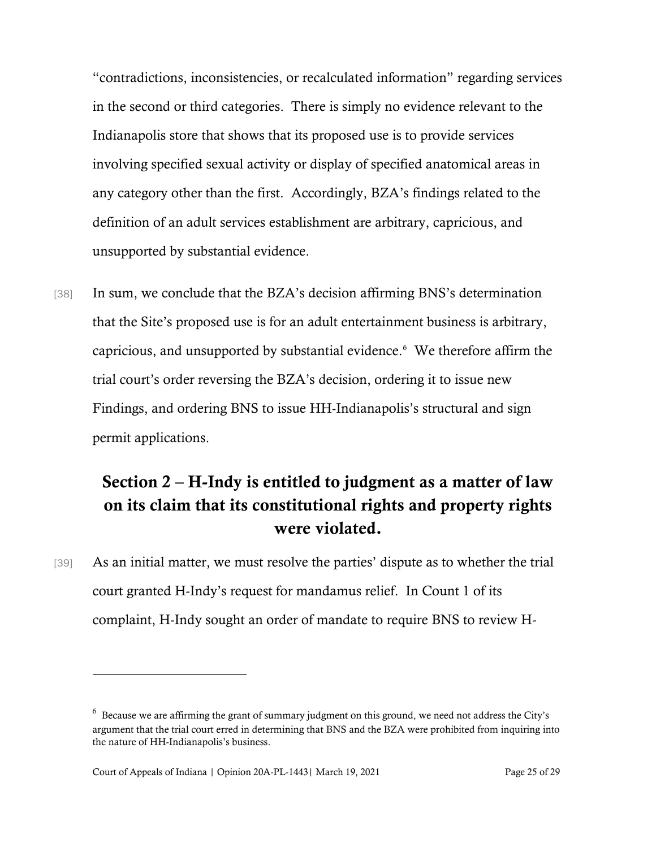"contradictions, inconsistencies, or recalculated information" regarding services in the second or third categories. There is simply no evidence relevant to the Indianapolis store that shows that its proposed use is to provide services involving specified sexual activity or display of specified anatomical areas in any category other than the first. Accordingly, BZA's findings related to the definition of an adult services establishment are arbitrary, capricious, and unsupported by substantial evidence.

[38] In sum, we conclude that the BZA's decision affirming BNS's determination that the Site's proposed use is for an adult entertainment business is arbitrary, capricious, and unsupported by substantial evidence.[6](#page-24-0) We therefore affirm the trial court's order reversing the BZA's decision, ordering it to issue new Findings, and ordering BNS to issue HH-Indianapolis's structural and sign permit applications.

# Section 2 – H-Indy is entitled to judgment as a matter of law on its claim that its constitutional rights and property rights were violated.

[39] As an initial matter, we must resolve the parties' dispute as to whether the trial court granted H-Indy's request for mandamus relief. In Count 1 of its complaint, H-Indy sought an order of mandate to require BNS to review H-

<span id="page-24-0"></span> $6$  Because we are affirming the grant of summary judgment on this ground, we need not address the City's argument that the trial court erred in determining that BNS and the BZA were prohibited from inquiring into the nature of HH-Indianapolis's business.

Court of Appeals of Indiana | Opinion 20A-PL-1443 | March 19, 2021 Page 25 of 29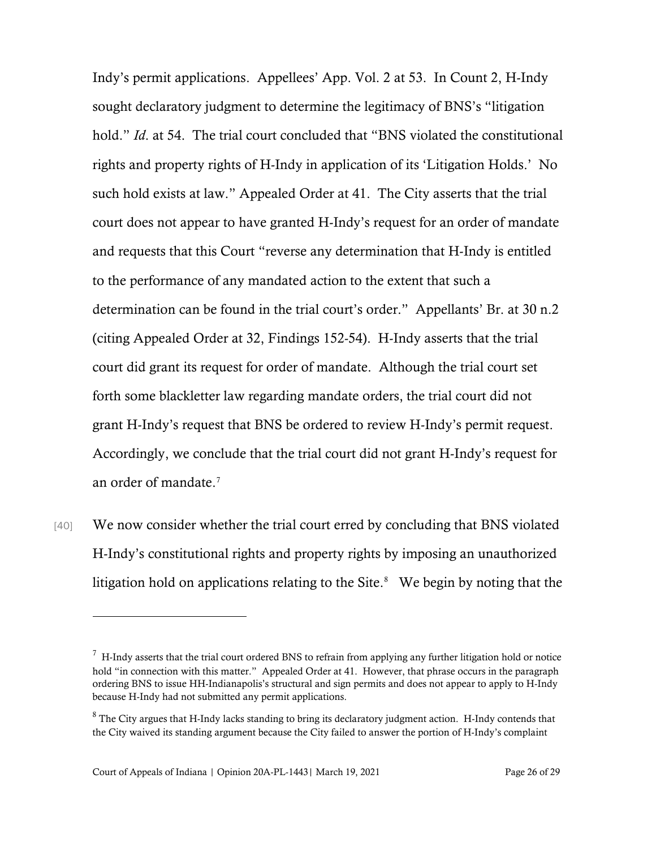Indy's permit applications. Appellees' App. Vol. 2 at 53. In Count 2, H-Indy sought declaratory judgment to determine the legitimacy of BNS's "litigation hold." *Id*. at 54. The trial court concluded that "BNS violated the constitutional rights and property rights of H-Indy in application of its 'Litigation Holds.' No such hold exists at law." Appealed Order at 41. The City asserts that the trial court does not appear to have granted H-Indy's request for an order of mandate and requests that this Court "reverse any determination that H-Indy is entitled to the performance of any mandated action to the extent that such a determination can be found in the trial court's order." Appellants' Br. at 30 n.2 (citing Appealed Order at 32, Findings 152-54). H-Indy asserts that the trial court did grant its request for order of mandate. Although the trial court set forth some blackletter law regarding mandate orders, the trial court did not grant H-Indy's request that BNS be ordered to review H-Indy's permit request. Accordingly, we conclude that the trial court did not grant H-Indy's request for an order of mandate. [7](#page-25-0)

[40] We now consider whether the trial court erred by concluding that BNS violated H-Indy's constitutional rights and property rights by imposing an unauthorized litigation hold on applications relating to the Site. $8$  We begin by noting that the

<span id="page-25-0"></span> $7$  H-Indy asserts that the trial court ordered BNS to refrain from applying any further litigation hold or notice hold "in connection with this matter." Appealed Order at 41. However, that phrase occurs in the paragraph ordering BNS to issue HH-Indianapolis's structural and sign permits and does not appear to apply to H-Indy because H-Indy had not submitted any permit applications.

<span id="page-25-1"></span><sup>&</sup>lt;sup>8</sup> The City argues that H-Indy lacks standing to bring its declaratory judgment action. H-Indy contends that the City waived its standing argument because the City failed to answer the portion of H-Indy's complaint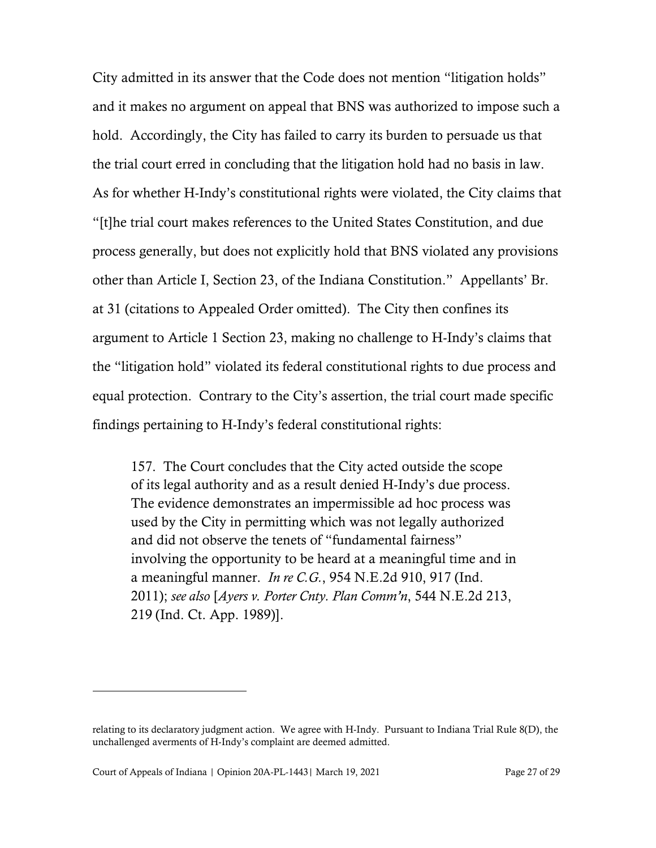City admitted in its answer that the Code does not mention "litigation holds" and it makes no argument on appeal that BNS was authorized to impose such a hold. Accordingly, the City has failed to carry its burden to persuade us that the trial court erred in concluding that the litigation hold had no basis in law. As for whether H-Indy's constitutional rights were violated, the City claims that "[t]he trial court makes references to the United States Constitution, and due process generally, but does not explicitly hold that BNS violated any provisions other than Article I, Section 23, of the Indiana Constitution." Appellants' Br. at 31 (citations to Appealed Order omitted). The City then confines its argument to Article 1 Section 23, making no challenge to H-Indy's claims that the "litigation hold" violated its federal constitutional rights to due process and equal protection. Contrary to the City's assertion, the trial court made specific findings pertaining to H-Indy's federal constitutional rights:

157. The Court concludes that the City acted outside the scope of its legal authority and as a result denied H-Indy's due process. The evidence demonstrates an impermissible ad hoc process was used by the City in permitting which was not legally authorized and did not observe the tenets of "fundamental fairness" involving the opportunity to be heard at a meaningful time and in a meaningful manner. *In re C.G.*, 954 N.E.2d 910, 917 (Ind. 2011); *see also* [*Ayers v. Porter Cnty. Plan Comm'n*, 544 N.E.2d 213, 219 (Ind. Ct. App. 1989)].

relating to its declaratory judgment action. We agree with H-Indy. Pursuant to Indiana Trial Rule 8(D), the unchallenged averments of H-Indy's complaint are deemed admitted.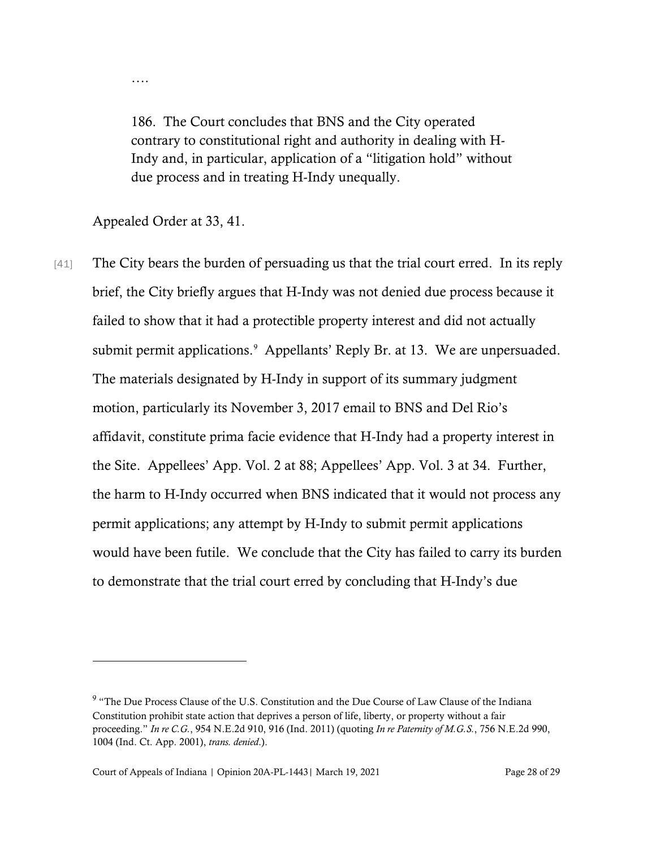186. The Court concludes that BNS and the City operated contrary to constitutional right and authority in dealing with H-Indy and, in particular, application of a "litigation hold" without due process and in treating H-Indy unequally.

Appealed Order at 33, 41.

….

[41] The City bears the burden of persuading us that the trial court erred. In its reply brief, the City briefly argues that H-Indy was not denied due process because it failed to show that it had a protectible property interest and did not actually submit permit applications. [9](#page-27-0) Appellants' Reply Br. at 13. We are unpersuaded. The materials designated by H-Indy in support of its summary judgment motion, particularly its November 3, 2017 email to BNS and Del Rio's affidavit, constitute prima facie evidence that H-Indy had a property interest in the Site. Appellees' App. Vol. 2 at 88; Appellees' App. Vol. 3 at 34. Further, the harm to H-Indy occurred when BNS indicated that it would not process any permit applications; any attempt by H-Indy to submit permit applications would have been futile. We conclude that the City has failed to carry its burden to demonstrate that the trial court erred by concluding that H-Indy's due

<span id="page-27-0"></span><sup>&</sup>lt;sup>9</sup> "The Due Process Clause of the U.S. Constitution and the Due Course of Law Clause of the Indiana Constitution prohibit state action that deprives a person of life, liberty, or property without a fair proceeding." *In re C.G.*, 954 N.E.2d 910, 916 (Ind. 2011) (quoting *In re Paternity of M.G.S.*, 756 N.E.2d 990, 1004 (Ind. Ct. App. 2001), *trans. denied*.).